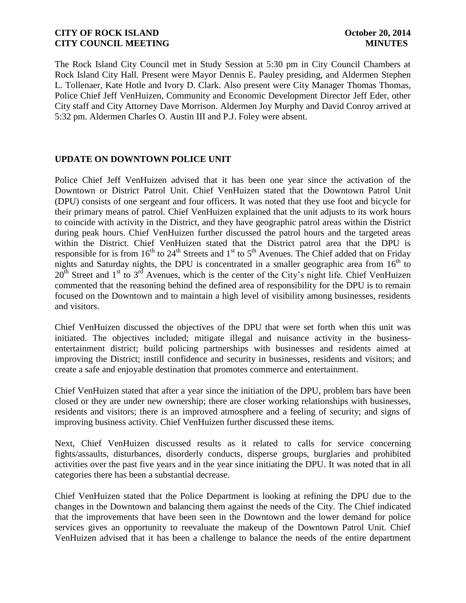The Rock Island City Council met in Study Session at 5:30 pm in City Council Chambers at Rock Island City Hall. Present were Mayor Dennis E. Pauley presiding, and Aldermen Stephen L. Tollenaer, Kate Hotle and Ivory D. Clark. Also present were City Manager Thomas Thomas, Police Chief Jeff VenHuizen, Community and Economic Development Director Jeff Eder, other City staff and City Attorney Dave Morrison. Aldermen Joy Murphy and David Conroy arrived at 5:32 pm. Aldermen Charles O. Austin III and P.J. Foley were absent.

# **UPDATE ON DOWNTOWN POLICE UNIT**

Police Chief Jeff VenHuizen advised that it has been one year since the activation of the Downtown or District Patrol Unit. Chief VenHuizen stated that the Downtown Patrol Unit (DPU) consists of one sergeant and four officers. It was noted that they use foot and bicycle for their primary means of patrol. Chief VenHuizen explained that the unit adjusts to its work hours to coincide with activity in the District, and they have geographic patrol areas within the District during peak hours. Chief VenHuizen further discussed the patrol hours and the targeted areas within the District. Chief VenHuizen stated that the District patrol area that the DPU is responsible for is from  $16<sup>th</sup>$  to  $24<sup>th</sup>$  Streets and  $1<sup>st</sup>$  to  $5<sup>th</sup>$  Avenues. The Chief added that on Friday nights and Saturday nights, the DPU is concentrated in a smaller geographic area from  $16<sup>th</sup>$  to  $20^{th}$  Street and 1<sup>st</sup> to  $3^{rd}$  Avenues, which is the center of the City's night life. Chief VenHuizen commented that the reasoning behind the defined area of responsibility for the DPU is to remain focused on the Downtown and to maintain a high level of visibility among businesses, residents and visitors.

Chief VenHuizen discussed the objectives of the DPU that were set forth when this unit was initiated. The objectives included; mitigate illegal and nuisance activity in the businessentertainment district; build policing partnerships with businesses and residents aimed at improving the District; instill confidence and security in businesses, residents and visitors; and create a safe and enjoyable destination that promotes commerce and entertainment.

Chief VenHuizen stated that after a year since the initiation of the DPU, problem bars have been closed or they are under new ownership; there are closer working relationships with businesses, residents and visitors; there is an improved atmosphere and a feeling of security; and signs of improving business activity. Chief VenHuizen further discussed these items.

Next, Chief VenHuizen discussed results as it related to calls for service concerning fights/assaults, disturbances, disorderly conducts, disperse groups, burglaries and prohibited activities over the past five years and in the year since initiating the DPU. It was noted that in all categories there has been a substantial decrease.

Chief VenHuizen stated that the Police Department is looking at refining the DPU due to the changes in the Downtown and balancing them against the needs of the City. The Chief indicated that the improvements that have been seen in the Downtown and the lower demand for police services gives an opportunity to reevaluate the makeup of the Downtown Patrol Unit. Chief VenHuizen advised that it has been a challenge to balance the needs of the entire department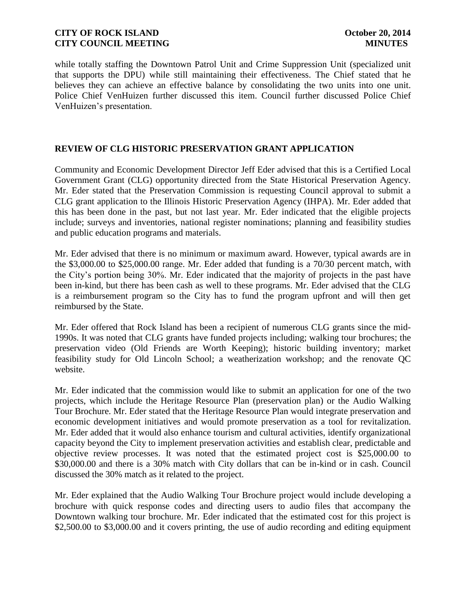while totally staffing the Downtown Patrol Unit and Crime Suppression Unit (specialized unit that supports the DPU) while still maintaining their effectiveness. The Chief stated that he believes they can achieve an effective balance by consolidating the two units into one unit. Police Chief VenHuizen further discussed this item. Council further discussed Police Chief VenHuizen's presentation.

# **REVIEW OF CLG HISTORIC PRESERVATION GRANT APPLICATION**

Community and Economic Development Director Jeff Eder advised that this is a Certified Local Government Grant (CLG) opportunity directed from the State Historical Preservation Agency. Mr. Eder stated that the Preservation Commission is requesting Council approval to submit a CLG grant application to the Illinois Historic Preservation Agency (IHPA). Mr. Eder added that this has been done in the past, but not last year. Mr. Eder indicated that the eligible projects include; surveys and inventories, national register nominations; planning and feasibility studies and public education programs and materials.

Mr. Eder advised that there is no minimum or maximum award. However, typical awards are in the \$3,000.00 to \$25,000.00 range. Mr. Eder added that funding is a 70/30 percent match, with the City's portion being 30%. Mr. Eder indicated that the majority of projects in the past have been in-kind, but there has been cash as well to these programs. Mr. Eder advised that the CLG is a reimbursement program so the City has to fund the program upfront and will then get reimbursed by the State.

Mr. Eder offered that Rock Island has been a recipient of numerous CLG grants since the mid-1990s. It was noted that CLG grants have funded projects including; walking tour brochures; the preservation video (Old Friends are Worth Keeping); historic building inventory; market feasibility study for Old Lincoln School; a weatherization workshop; and the renovate QC website.

Mr. Eder indicated that the commission would like to submit an application for one of the two projects, which include the Heritage Resource Plan (preservation plan) or the Audio Walking Tour Brochure. Mr. Eder stated that the Heritage Resource Plan would integrate preservation and economic development initiatives and would promote preservation as a tool for revitalization. Mr. Eder added that it would also enhance tourism and cultural activities, identify organizational capacity beyond the City to implement preservation activities and establish clear, predictable and objective review processes. It was noted that the estimated project cost is \$25,000.00 to \$30,000.00 and there is a 30% match with City dollars that can be in-kind or in cash. Council discussed the 30% match as it related to the project.

Mr. Eder explained that the Audio Walking Tour Brochure project would include developing a brochure with quick response codes and directing users to audio files that accompany the Downtown walking tour brochure. Mr. Eder indicated that the estimated cost for this project is \$2,500.00 to \$3,000.00 and it covers printing, the use of audio recording and editing equipment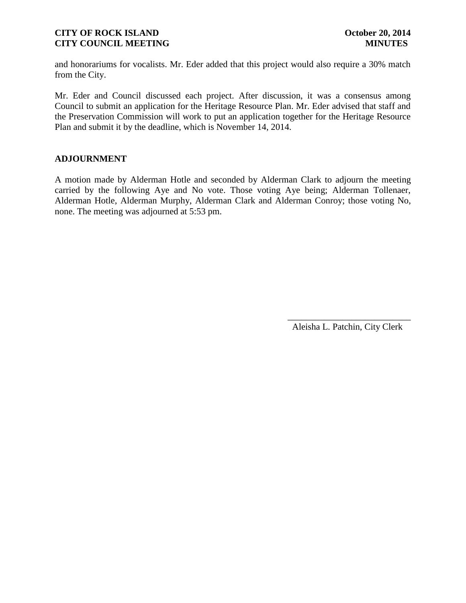and honorariums for vocalists. Mr. Eder added that this project would also require a 30% match from the City.

Mr. Eder and Council discussed each project. After discussion, it was a consensus among Council to submit an application for the Heritage Resource Plan. Mr. Eder advised that staff and the Preservation Commission will work to put an application together for the Heritage Resource Plan and submit it by the deadline, which is November 14, 2014.

# **ADJOURNMENT**

A motion made by Alderman Hotle and seconded by Alderman Clark to adjourn the meeting carried by the following Aye and No vote. Those voting Aye being; Alderman Tollenaer, Alderman Hotle, Alderman Murphy, Alderman Clark and Alderman Conroy; those voting No, none. The meeting was adjourned at 5:53 pm.

Aleisha L. Patchin, City Clerk

 $\frac{1}{2}$  ,  $\frac{1}{2}$  ,  $\frac{1}{2}$  ,  $\frac{1}{2}$  ,  $\frac{1}{2}$  ,  $\frac{1}{2}$  ,  $\frac{1}{2}$  ,  $\frac{1}{2}$  ,  $\frac{1}{2}$  ,  $\frac{1}{2}$  ,  $\frac{1}{2}$  ,  $\frac{1}{2}$  ,  $\frac{1}{2}$  ,  $\frac{1}{2}$  ,  $\frac{1}{2}$  ,  $\frac{1}{2}$  ,  $\frac{1}{2}$  ,  $\frac{1}{2}$  ,  $\frac{1$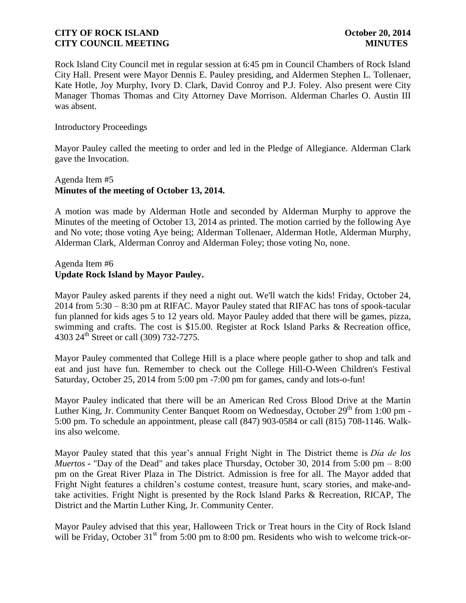Rock Island City Council met in regular session at 6:45 pm in Council Chambers of Rock Island City Hall. Present were Mayor Dennis E. Pauley presiding, and Aldermen Stephen L. Tollenaer, Kate Hotle, Joy Murphy, Ivory D. Clark, David Conroy and P.J. Foley. Also present were City Manager Thomas Thomas and City Attorney Dave Morrison. Alderman Charles O. Austin III was absent.

### Introductory Proceedings

Mayor Pauley called the meeting to order and led in the Pledge of Allegiance. Alderman Clark gave the Invocation.

# Agenda Item #5 **Minutes of the meeting of October 13, 2014.**

A motion was made by Alderman Hotle and seconded by Alderman Murphy to approve the Minutes of the meeting of October 13, 2014 as printed. The motion carried by the following Aye and No vote; those voting Aye being; Alderman Tollenaer, Alderman Hotle, Alderman Murphy, Alderman Clark, Alderman Conroy and Alderman Foley; those voting No, none.

# Agenda Item #6 **Update Rock Island by Mayor Pauley.**

Mayor Pauley asked parents if they need a night out. We'll watch the kids! Friday, October 24, 2014 from 5:30 – 8:30 pm at RIFAC. Mayor Pauley stated that RIFAC has tons of spook-tacular fun planned for kids ages 5 to 12 years old. Mayor Pauley added that there will be games, pizza, swimming and crafts. The cost is \$15.00. Register at Rock Island Parks & Recreation office, 4303 24<sup>th</sup> Street or call (309) 732-7275.

Mayor Pauley commented that College Hill is a place where people gather to shop and talk and eat and just have fun. Remember to check out the College Hill-O-Ween Children's Festival Saturday, October 25, 2014 from 5:00 pm -7:00 pm for games, candy and lots-o-fun!

Mayor Pauley indicated that there will be an American Red Cross Blood Drive at the Martin Luther King, Jr. Community Center Banquet Room on Wednesday, October  $29<sup>th</sup>$  from 1:00 pm -5:00 pm. To schedule an appointment, please call (847) 903-0584 or call (815) 708-1146. Walkins also welcome.

Mayor Pauley stated that this year's annual Fright Night in The District theme is *Dia de los Muertos* **-** "Day of the Dead" and takes place Thursday, October 30, 2014 from 5:00 pm – 8:00 pm on the Great River Plaza in The District. Admission is free for all. The Mayor added that Fright Night features a children's costume contest, treasure hunt, scary stories, and make-andtake activities. Fright Night is presented by the [Rock Island Parks & Recreation,](http://www.rigov.org/) RICAP, The District and the Martin Luther King, Jr. Community Center.

Mayor Pauley advised that this year, Halloween Trick or Treat hours in the City of Rock Island will be Friday, October  $31<sup>st</sup>$  from 5:00 pm to 8:00 pm. Residents who wish to welcome trick-or-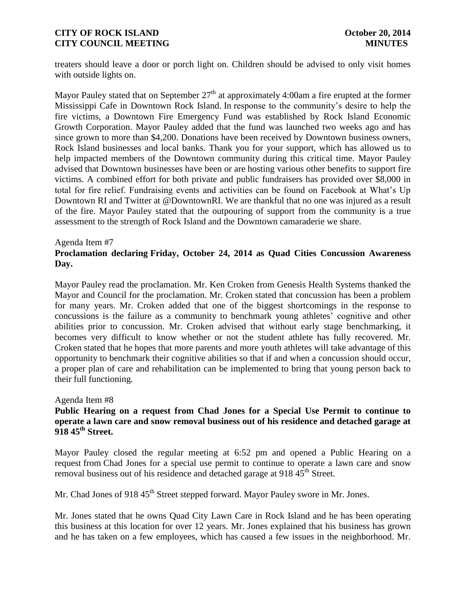treaters should leave a door or porch light on. Children should be advised to only visit homes with outside lights on.

Mayor Pauley stated that on September  $27<sup>th</sup>$  at approximately 4:00am a fire erupted at the former Mississippi Cafe in Downtown Rock Island. In response to the community's desire to help the fire victims, a Downtown Fire Emergency Fund was established by Rock Island Economic Growth Corporation. Mayor Pauley added that the fund was launched two weeks ago and has since grown to more than \$4,200. Donations have been received by Downtown business owners, Rock Island businesses and local banks. Thank you for your support, which has allowed us to help impacted members of the Downtown community during this critical time. Mayor Pauley advised that Downtown businesses have been or are hosting various other benefits to support fire victims. A combined effort for both private and public fundraisers has provided over \$8,000 in total for fire relief. Fundraising events and activities can be found on Facebook at What's Up Downtown RI and Twitter at @DowntownRI. We are thankful that no one was injured as a result of the fire. Mayor Pauley stated that the outpouring of support from the community is a true assessment to the strength of Rock Island and the Downtown camaraderie we share.

#### Agenda Item #7

# **Proclamation declaring Friday, October 24, 2014 as Quad Cities Concussion Awareness Day.**

Mayor Pauley read the proclamation. Mr. Ken Croken from Genesis Health Systems thanked the Mayor and Council for the proclamation. Mr. Croken stated that concussion has been a problem for many years. Mr. Croken added that one of the biggest shortcomings in the response to concussions is the failure as a community to benchmark young athletes' cognitive and other abilities prior to concussion. Mr. Croken advised that without early stage benchmarking, it becomes very difficult to know whether or not the student athlete has fully recovered. Mr. Croken stated that he hopes that more parents and more youth athletes will take advantage of this opportunity to benchmark their cognitive abilities so that if and when a concussion should occur, a proper plan of care and rehabilitation can be implemented to bring that young person back to their full functioning.

#### Agenda Item #8

## **Public Hearing on a request from Chad Jones for a Special Use Permit to continue to operate a lawn care and snow removal business out of his residence and detached garage at 918 45th Street.**

Mayor Pauley closed the regular meeting at 6:52 pm and opened a Public Hearing on a request from Chad Jones for a special use permit to continue to operate a lawn care and snow removal business out of his residence and detached garage at  $918.45^{\text{th}}$  Street.

Mr. Chad Jones of 918 45<sup>th</sup> Street stepped forward. Mayor Pauley swore in Mr. Jones.

Mr. Jones stated that he owns Quad City Lawn Care in Rock Island and he has been operating this business at this location for over 12 years. Mr. Jones explained that his business has grown and he has taken on a few employees, which has caused a few issues in the neighborhood. Mr.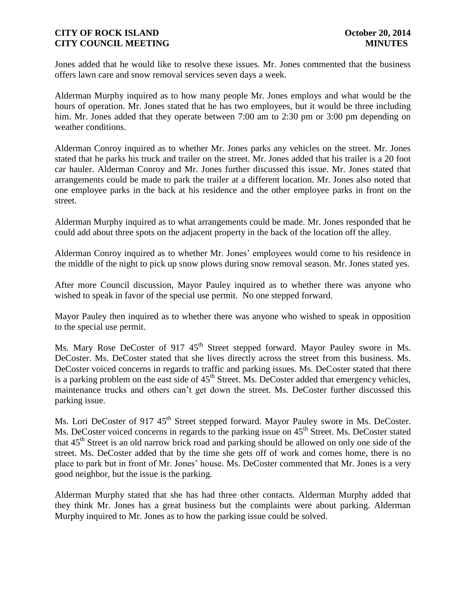Jones added that he would like to resolve these issues. Mr. Jones commented that the business offers lawn care and snow removal services seven days a week.

Alderman Murphy inquired as to how many people Mr. Jones employs and what would be the hours of operation. Mr. Jones stated that he has two employees, but it would be three including him. Mr. Jones added that they operate between 7:00 am to 2:30 pm or 3:00 pm depending on weather conditions.

Alderman Conroy inquired as to whether Mr. Jones parks any vehicles on the street. Mr. Jones stated that he parks his truck and trailer on the street. Mr. Jones added that his trailer is a 20 foot car hauler. Alderman Conroy and Mr. Jones further discussed this issue. Mr. Jones stated that arrangements could be made to park the trailer at a different location. Mr. Jones also noted that one employee parks in the back at his residence and the other employee parks in front on the street.

Alderman Murphy inquired as to what arrangements could be made. Mr. Jones responded that he could add about three spots on the adjacent property in the back of the location off the alley.

Alderman Conroy inquired as to whether Mr. Jones' employees would come to his residence in the middle of the night to pick up snow plows during snow removal season. Mr. Jones stated yes.

After more Council discussion, Mayor Pauley inquired as to whether there was anyone who wished to speak in favor of the special use permit. No one stepped forward.

Mayor Pauley then inquired as to whether there was anyone who wished to speak in opposition to the special use permit.

Ms. Mary Rose DeCoster of 917 45<sup>th</sup> Street stepped forward. Mayor Pauley swore in Ms. DeCoster. Ms. DeCoster stated that she lives directly across the street from this business. Ms. DeCoster voiced concerns in regards to traffic and parking issues. Ms. DeCoster stated that there is a parking problem on the east side of  $45<sup>th</sup>$  Street. Ms. DeCoster added that emergency vehicles, maintenance trucks and others can't get down the street. Ms. DeCoster further discussed this parking issue.

Ms. Lori DeCoster of 917 45<sup>th</sup> Street stepped forward. Mayor Pauley swore in Ms. DeCoster. Ms. DeCoster voiced concerns in regards to the parking issue on 45<sup>th</sup> Street. Ms. DeCoster stated that 45<sup>th</sup> Street is an old narrow brick road and parking should be allowed on only one side of the street. Ms. DeCoster added that by the time she gets off of work and comes home, there is no place to park but in front of Mr. Jones' house. Ms. DeCoster commented that Mr. Jones is a very good neighbor, but the issue is the parking.

Alderman Murphy stated that she has had three other contacts. Alderman Murphy added that they think Mr. Jones has a great business but the complaints were about parking. Alderman Murphy inquired to Mr. Jones as to how the parking issue could be solved.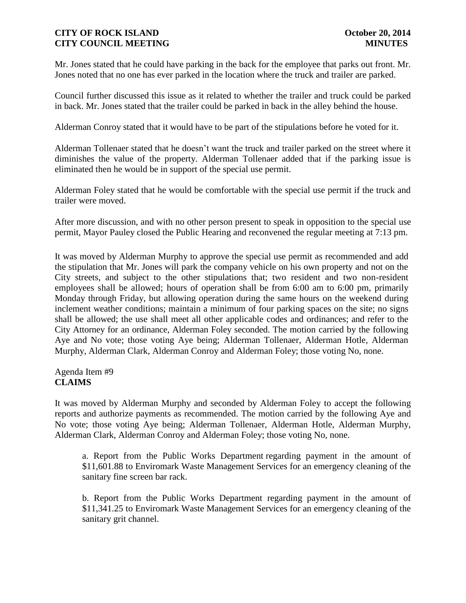Mr. Jones stated that he could have parking in the back for the employee that parks out front. Mr. Jones noted that no one has ever parked in the location where the truck and trailer are parked.

Council further discussed this issue as it related to whether the trailer and truck could be parked in back. Mr. Jones stated that the trailer could be parked in back in the alley behind the house.

Alderman Conroy stated that it would have to be part of the stipulations before he voted for it.

Alderman Tollenaer stated that he doesn't want the truck and trailer parked on the street where it diminishes the value of the property. Alderman Tollenaer added that if the parking issue is eliminated then he would be in support of the special use permit.

Alderman Foley stated that he would be comfortable with the special use permit if the truck and trailer were moved.

After more discussion, and with no other person present to speak in opposition to the special use permit, Mayor Pauley closed the Public Hearing and reconvened the regular meeting at 7:13 pm.

It was moved by Alderman Murphy to approve the special use permit as recommended and add the stipulation that Mr. Jones will park the company vehicle on his own property and not on the City streets, and subject to the other stipulations that; two resident and two non-resident employees shall be allowed; hours of operation shall be from 6:00 am to 6:00 pm, primarily Monday through Friday, but allowing operation during the same hours on the weekend during inclement weather conditions; maintain a minimum of four parking spaces on the site; no signs shall be allowed; the use shall meet all other applicable codes and ordinances; and refer to the City Attorney for an ordinance, Alderman Foley seconded. The motion carried by the following Aye and No vote; those voting Aye being; Alderman Tollenaer, Alderman Hotle, Alderman Murphy, Alderman Clark, Alderman Conroy and Alderman Foley; those voting No, none.

# Agenda Item #9 **CLAIMS**

It was moved by Alderman Murphy and seconded by Alderman Foley to accept the following reports and authorize payments as recommended. The motion carried by the following Aye and No vote; those voting Aye being; Alderman Tollenaer, Alderman Hotle, Alderman Murphy, Alderman Clark, Alderman Conroy and Alderman Foley; those voting No, none.

a. Report from the Public Works Department regarding payment in the amount of \$11,601.88 to Enviromark Waste Management Services for an emergency cleaning of the sanitary fine screen bar rack.

b. Report from the Public Works Department regarding payment in the amount of \$11,341.25 to Enviromark Waste Management Services for an emergency cleaning of the sanitary grit channel.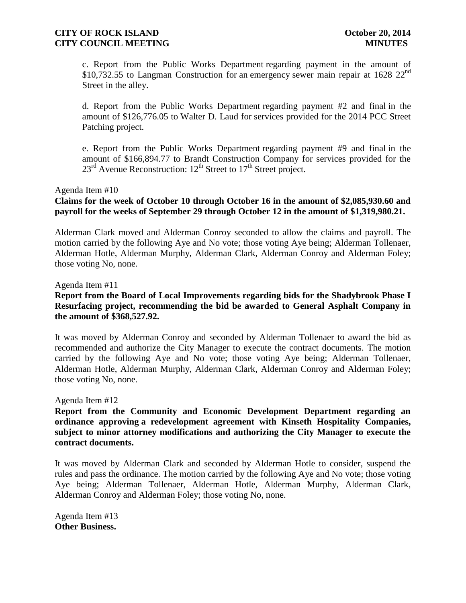c. Report from the Public Works Department regarding payment in the amount of \$10,732.55 to Langman Construction for an emergency sewer main repair at 1628  $22^{nd}$ Street in the alley.

d. Report from the Public Works Department regarding payment #2 and final in the amount of \$126,776.05 to Walter D. Laud for services provided for the 2014 PCC Street Patching project.

e. Report from the Public Works Department regarding payment #9 and final in the amount of \$166,894.77 to Brandt Construction Company for services provided for the  $23<sup>rd</sup>$  Avenue Reconstruction:  $12<sup>th</sup>$  Street to  $17<sup>th</sup>$  Street project.

#### Agenda Item #10

# **Claims for the week of October 10 through October 16 in the amount of \$2,085,930.60 and payroll for the weeks of September 29 through October 12 in the amount of \$1,319,980.21.**

Alderman Clark moved and Alderman Conroy seconded to allow the claims and payroll. The motion carried by the following Aye and No vote; those voting Aye being; Alderman Tollenaer, Alderman Hotle, Alderman Murphy, Alderman Clark, Alderman Conroy and Alderman Foley; those voting No, none.

#### Agenda Item #11

# **Report from the Board of Local Improvements regarding bids for the Shadybrook Phase I Resurfacing project, recommending the bid be awarded to General Asphalt Company in the amount of \$368,527.92.**

It was moved by Alderman Conroy and seconded by Alderman Tollenaer to award the bid as recommended and authorize the City Manager to execute the contract documents. The motion carried by the following Aye and No vote; those voting Aye being; Alderman Tollenaer, Alderman Hotle, Alderman Murphy, Alderman Clark, Alderman Conroy and Alderman Foley; those voting No, none.

#### Agenda Item #12

**Report from the Community and Economic Development Department regarding an ordinance approving a redevelopment agreement with Kinseth Hospitality Companies, subject to minor attorney modifications and authorizing the City Manager to execute the contract documents.**

It was moved by Alderman Clark and seconded by Alderman Hotle to consider, suspend the rules and pass the ordinance. The motion carried by the following Aye and No vote; those voting Aye being; Alderman Tollenaer, Alderman Hotle, Alderman Murphy, Alderman Clark, Alderman Conroy and Alderman Foley; those voting No, none.

Agenda Item #13 **Other Business.**